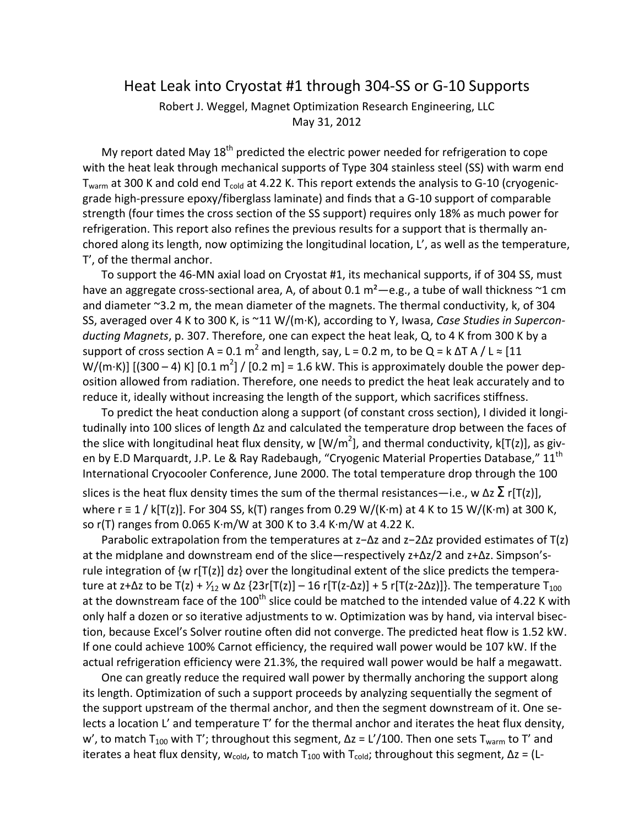## Heat Leak into Cryostat #1 through 304‐SS or G‐10 Supports

Robert J. Weggel, Magnet Optimization Research Engineering, LLC May 31, 2012

My report dated May  $18<sup>th</sup>$  predicted the electric power needed for refrigeration to cope with the heat leak through mechanical supports of Type 304 stainless steel (SS) with warm end  $T<sub>warm</sub>$  at 300 K and cold end  $T<sub>cold</sub>$  at 4.22 K. This report extends the analysis to G-10 (cryogenicgrade high‐pressure epoxy/fiberglass laminate) and finds that a G‐10 support of comparable strength (four times the cross section of the SS support) requires only 18% as much power for refrigeration. This report also refines the previous results for a support that is thermally an‐ chored along its length, now optimizing the longitudinal location, L', as well as the temperature, T', of the thermal anchor.

To support the 46‐MN axial load on Cryostat #1, its mechanical supports, if of 304 SS, must have an aggregate cross-sectional area, A, of about 0.1  $m^2$  - e.g., a tube of wall thickness  $\sim$ 1 cm and diameter ~3.2 m, the mean diameter of the magnets. The thermal conductivity, k, of 304 SS, averaged over 4 K to 300 K, is ~11 W/(m∙K), according to Y, Iwasa, *Case Studies in Supercon‐ ducting Magnets*, p. 307. Therefore, one can expect the heat leak, Q, to 4 K from 300 K by a support of cross section A = 0.1 m<sup>2</sup> and length, say, L = 0.2 m, to be Q = k  $\Delta T$  A / L  $\approx$  [11 W/(m⋅K)] [(300 – 4) K] [0.1 m<sup>2</sup>] / [0.2 m] = 1.6 kW. This is approximately double the power deposition allowed from radiation. Therefore, one needs to predict the heat leak accurately and to reduce it, ideally without increasing the length of the support, which sacrifices stiffness.

To predict the heat conduction along a support (of constant cross section), I divided it longi‐ tudinally into 100 slices of length ∆z and calculated the temperature drop between the faces of the slice with longitudinal heat flux density, w [W/m<sup>2</sup>], and thermal conductivity, k[T(z)], as given by E.D Marquardt, J.P. Le & Ray Radebaugh, "Cryogenic Material Properties Database," 11<sup>th</sup> International Cryocooler Conference, June 2000. The total temperature drop through the 100

slices is the heat flux density times the sum of the thermal resistances—i.e., w  $\Delta z \sum r[T(z)]$ , where r ≡ 1 / k[T(z)]. For 304 SS, k(T) ranges from 0.29 W/(K∙m) at 4 K to 15 W/(K∙m) at 300 K, so r(T) ranges from 0.065 K∙m/W at 300 K to 3.4 K∙m/W at 4.22 K.

Parabolic extrapolation from the temperatures at z−∆z and z−2∆z provided estimates of T(z) at the midplane and downstream end of the slice—respectively z+∆z/2 and z+∆z. Simpson's‐ rule integration of {w r[T(z)] dz} over the longitudinal extent of the slice predicts the tempera‐ ture at z+ $\Delta$ z to be T(z) +  $\frac{1}{12}$  w  $\Delta$ z {23r[T(z)] – 16 r[T(z- $\Delta$ z)] + 5 r[T(z-2 $\Delta$ z)]}. The temperature T<sub>100</sub> at the downstream face of the 100<sup>th</sup> slice could be matched to the intended value of 4.22 K with only half a dozen or so iterative adjustments to w. Optimization was by hand, via interval bisec‐ tion, because Excel's Solver routine often did not converge. The predicted heat flow is 1.52 kW. If one could achieve 100% Carnot efficiency, the required wall power would be 107 kW. If the actual refrigeration efficiency were 21.3%, the required wall power would be half a megawatt.

One can greatly reduce the required wall power by thermally anchoring the support along its length. Optimization of such a support proceeds by analyzing sequentially the segment of the support upstream of the thermal anchor, and then the segment downstream of it. One se‐ lects a location L' and temperature T' for the thermal anchor and iterates the heat flux density, w', to match T<sub>100</sub> with T'; throughout this segment,  $\Delta z = L'/100$ . Then one sets T<sub>warm</sub> to T' and iterates a heat flux density, w<sub>cold</sub>, to match T<sub>100</sub> with T<sub>cold</sub>; throughout this segment,  $\Delta z = (L -$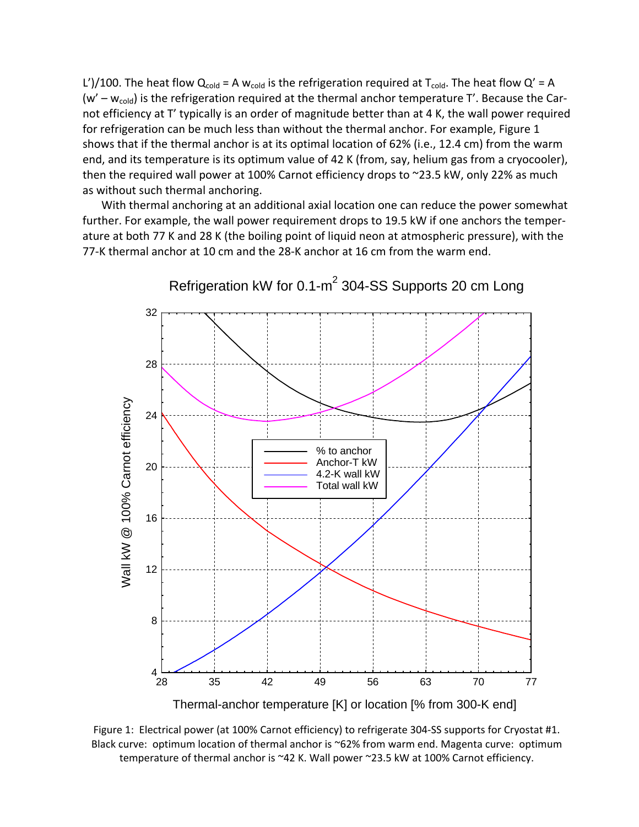L')/100. The heat flow  $Q_{cold}$  = A w<sub>cold</sub> is the refrigeration required at T<sub>cold</sub>. The heat flow  $Q'$  = A (w' –  $w_{\text{cold}}$ ) is the refrigeration required at the thermal anchor temperature T'. Because the Carnot efficiency at T' typically is an order of magnitude better than at 4 K, the wall power required for refrigeration can be much less than without the thermal anchor. For example, Figure 1 shows that if the thermal anchor is at its optimal location of 62% (i.e., 12.4 cm) from the warm end, and its temperature is its optimum value of 42 K (from, say, helium gas from a cryocooler), then the required wall power at 100% Carnot efficiency drops to ~23.5 kW, only 22% as much as without such thermal anchoring.

With thermal anchoring at an additional axial location one can reduce the power somewhat further. For example, the wall power requirement drops to 19.5 kW if one anchors the temper‐ ature at both 77 K and 28 K (the boiling point of liquid neon at atmospheric pressure), with the 77‐K thermal anchor at 10 cm and the 28‐K anchor at 16 cm from the warm end.



Refrigeration kW for 0.1-m<sup>2</sup> 304-SS Supports 20 cm Long

Thermal-anchor temperature [K] or location [% from 300-K end]

Figure 1: Electrical power (at 100% Carnot efficiency) to refrigerate 304‐SS supports for Cryostat #1. Black curve: optimum location of thermal anchor is ~62% from warm end. Magenta curve: optimum temperature of thermal anchor is ~42 K. Wall power ~23.5 kW at 100% Carnot efficiency.